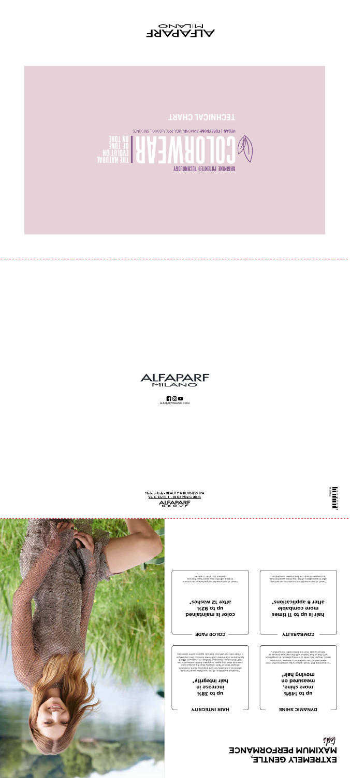





 $f \circ \mathbf{O}$ ALFAPARFMILANO.CO M



**hair is up to 11 times more combable after 6 applications\***

**color is maintained up to 92% after 12 washes\***

\*result of instrumental test conducted on wet hair, after 6 applications of the new Color Wear formula, in comparison with the best market competitors.

Made in Italy - BEAUTY & BUSINESS SPA<br>Via C. Cantù, I - 20123 Milano (Italy) ALFAPARF

\*result of instrumental test performed on a strand treated with the new Color Wear formula (shade 6.35), after 12 washes.

**up to 149% more shine,**

DYNAMIC SHINE<br>  $\Box$   $\Box$  **HAIR INTECRITY** 



### **measured on moving hair\***

\*instrumental test result, optained by comparing the shine ship.<br>\*he way color Wear and the pape ship the new Color Wear. mosinaqmoo ni (zbnstła privom to zbne bna arłbenel, atory).<br>In alumtot zuoiverq ent rhiw beteert rien to tent ntiw<br>Is rotiteqmoo textem teed ent mort ztouborg ntiw. **MAXIMUM PERFORMANCE**<br> **MAXIMUM PERFORMANCE PROPERTY AND SURVEY COMBANCE**<br> **MAXIMUM PERFORMANCE PROPERTY AND SURVEY COMBANCE**<br> **MAXIMUS PROPERTY AND SURVEY COMBANCE**<br> **MAXIMUS PROPERTY AND SURVEY COMBANCE**<br> **MAXIMUS PROPER** 

COMBABILITY —— COLOR FADE

**up to 38% increase in**

## **hair integrity\***

, alumnot tasky rolo.<br>The and the noirspillage base are right and the set and the carrieration theorem of the maniform of the maniform of the maniform of the maniform of the maniform of the maniform of the maniform of the

# **EXTREMELY GENTLE,**